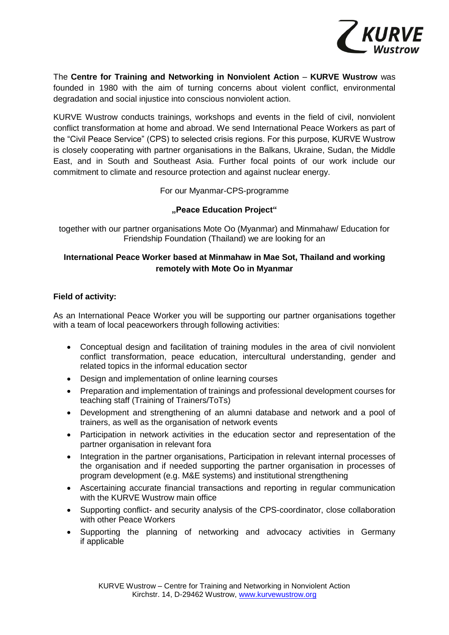

The **Centre for Training and Networking in Nonviolent Action** – **KURVE Wustrow** was founded in 1980 with the aim of turning concerns about violent conflict, environmental degradation and social injustice into conscious nonviolent action.

KURVE Wustrow conducts trainings, workshops and events in the field of civil, nonviolent conflict transformation at home and abroad. We send International Peace Workers as part of the "Civil Peace Service" (CPS) to selected crisis regions. For this purpose, KURVE Wustrow is closely cooperating with partner organisations in the Balkans, Ukraine, Sudan, the Middle East, and in South and Southeast Asia. Further focal points of our work include our commitment to climate and resource protection and against nuclear energy.

For our Myanmar-CPS-programme

## **"Peace Education Project"**

together with our partner organisations Mote Oo (Myanmar) and Minmahaw/ Education for Friendship Foundation (Thailand) we are looking for an

# **International Peace Worker based at Minmahaw in Mae Sot, Thailand and working remotely with Mote Oo in Myanmar**

## **Field of activity:**

As an International Peace Worker you will be supporting our partner organisations together with a team of local peaceworkers through following activities:

- Conceptual design and facilitation of training modules in the area of civil nonviolent conflict transformation, peace education, intercultural understanding, gender and related topics in the informal education sector
- Design and implementation of online learning courses
- Preparation and implementation of trainings and professional development courses for teaching staff (Training of Trainers/ToTs)
- Development and strengthening of an alumni database and network and a pool of trainers, as well as the organisation of network events
- Participation in network activities in the education sector and representation of the partner organisation in relevant fora
- Integration in the partner organisations, Participation in relevant internal processes of the organisation and if needed supporting the partner organisation in processes of program development (e.g. M&E systems) and institutional strengthening
- Ascertaining accurate financial transactions and reporting in regular communication with the KURVE Wustrow main office
- Supporting conflict- and security analysis of the CPS-coordinator, close collaboration with other Peace Workers
- Supporting the planning of networking and advocacy activities in Germany if applicable